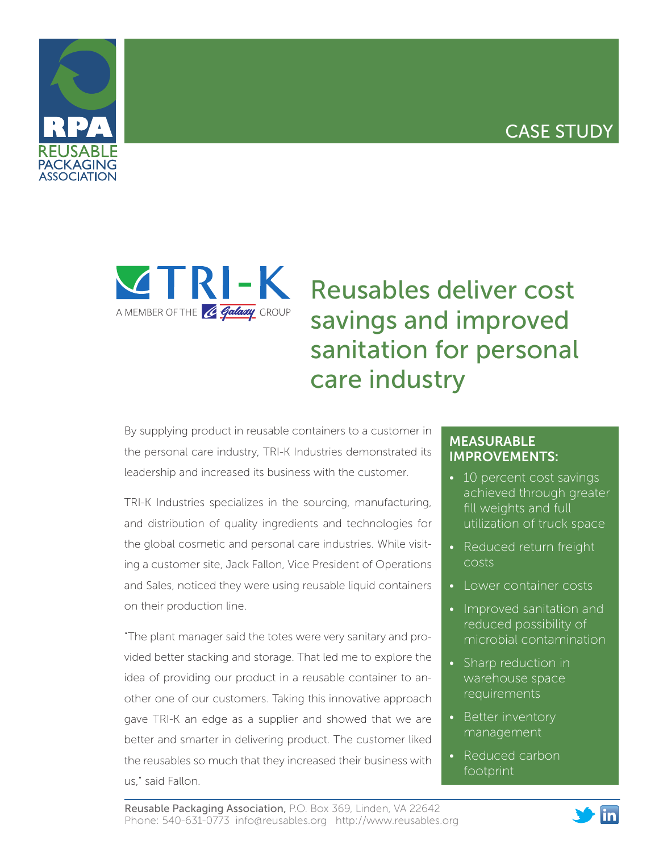## CASE STUDY





## Reusables deliver cost savings and improved sanitation for personal care industry

By supplying product in reusable containers to a customer in the personal care industry, TRI-K Industries demonstrated its leadership and increased its business with the customer.

TRI-K Industries specializes in the sourcing, manufacturing, and distribution of quality ingredients and technologies for the global cosmetic and personal care industries. While visiting a customer site, Jack Fallon, Vice President of Operations and Sales, noticed they were using reusable liquid containers on their production line.

"The plant manager said the totes were very sanitary and provided better stacking and storage. That led me to explore the idea of providing our product in a reusable container to another one of our customers. Taking this innovative approach gave TRI-K an edge as a supplier and showed that we are better and smarter in delivering product. The customer liked the reusables so much that they increased their business with us," said Fallon.

## MEASURABLE IMPROVEMENTS:

- 10 percent cost savings achieved through greater fill weights and full utilization of truck space
- Reduced return freight costs
- Lower container costs
- Improved sanitation and reduced possibility of microbial contamination
- Sharp reduction in warehouse space requirements
- Better inventory management
- Reduced carbon footprint